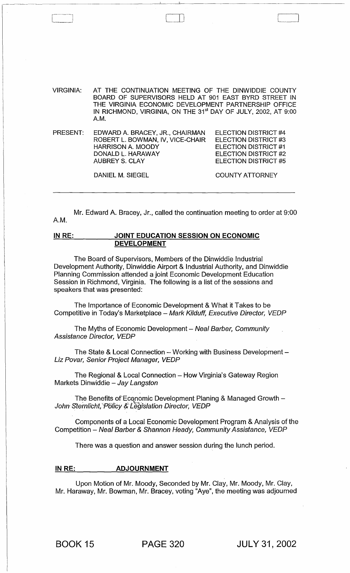VIRGINIA: AT THE CONTINUATION MEETING OF THE DINWIDDIE COUNTY BOARD OF SUPERVISORS HELD AT 901 EAST BYRD STREET IN THE VIRGINIA ECONOMIC DEVELOPMENT PARTNERSHIP OFFICE IN RICHMOND, VIRGINIA, ON THE 31<sup>st</sup> DAY OF JULY, 2002, AT 9:00 A.M.

\_\_\_\_\_\_ ~ \_\_\_\_\_\_\_\_\_\_\_\_\_\_\_\_\_\_ '\_\_\_ \_ \_\_'L\_\_ \_\_\_\_\_\_\_\_\_\_\_\_\_\_\_\_\_\_\_ \_

PRESENT: EDWARD A. BRACEY, JR., CHAIRMAN ROBERT L. BOWMAN, IV, VICE-CHAIR HARRISON A. MOODY DONALD L. HARAWAY AUBREY S. CLAY ELECTION DISTRICT #4 ELECTION DISTRICT #3 ELECTION DISTRICT #1 ELECTION DISTRICT #2 ELECTION DISTRICT #5

DANIEL M. SIEGEL

r--l 0)

COUNTY ATTORNEY

Mr. Edward A. Bracey, Jr., called the continuation meeting to order at 9:00 A.M.

## INRE: JOINT EDUCATION SESSION ON ECONOMIC DEVELOPMENT

The Board of Supervisors, Members of the Dinwiddie Industrial Development Authority, Dinwiddie Airport & Industrial Authority, and Dinwiddie Planning Commission attended a joint Economic Development Education Session in Richmond, Virginia. The following is a list of the sessions and speakers that was presented:

The Importance of Economic Development & What it Takes to be Competitive in Today's Marketplace - Mark Kilduff, Executive Director, VEDP

The Myths of Economic Development - Neal Barber, Community Assistance Director, VEDP

The State & Local Connection  $-$  Working with Business Development  $-$ Liz Povar, Senior Project Manager, VEDP

The Regional & Local Connection - How Virginia's Gateway Region Markets Dinwiddie  $-$  Jay Langston

The Benefits of Economic Development Planing & Managed Growth  $-$ John Sternlicht, 'Policy & Legislation Director, VEDP

Components of a Local Economic Development Program & Analysis of the Competition - Neal Barber & Shannon Heady, Community Assistance, VEDP

There was a question and answer session during the lunch period.

## INRE: ADJOURNMENT

Upon Motion of Mr. Moody, Seconded by Mr. Clay, Mr. Moody, Mr. Clay, Mr. Haraway, Mr. Bowman, Mr. Bracey, voting "Aye", the meeting was adjourned

BOOK 15 PAGE 320 JULY 31,2002